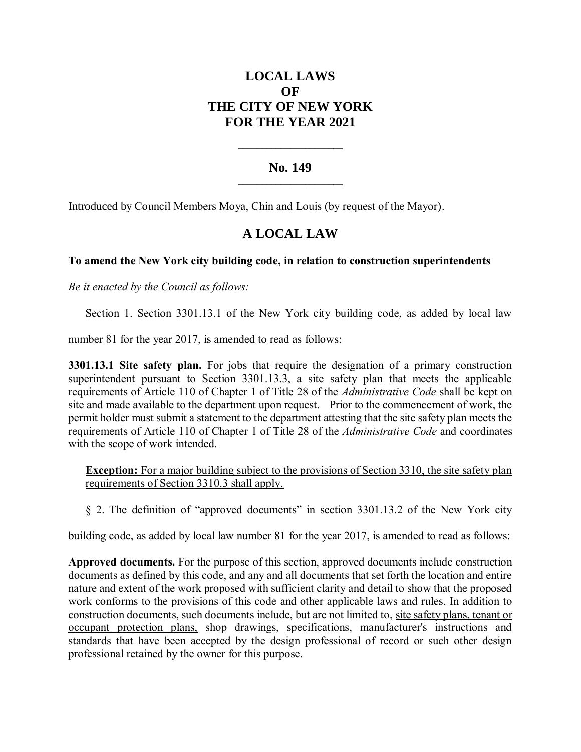# **LOCAL LAWS OF THE CITY OF NEW YORK FOR THE YEAR 2021**

### **No. 149 \_\_\_\_\_\_\_\_\_\_\_\_\_\_\_\_\_\_\_\_\_\_**

**\_\_\_\_\_\_\_\_\_\_\_\_\_\_\_\_\_\_\_\_\_\_**

Introduced by Council Members Moya, Chin and Louis (by request of the Mayor).

## **A LOCAL LAW**

### **To amend the New York city building code, in relation to construction superintendents**

*Be it enacted by the Council as follows:*

Section 1. Section 3301.13.1 of the New York city building code, as added by local law

number 81 for the year 2017, is amended to read as follows:

**3301.13.1 Site safety plan.** For jobs that require the designation of a primary construction superintendent pursuant to Section 3301.13.3, a site safety plan that meets the applicable requirements of Article 110 of Chapter 1 of Title 28 of the *Administrative Code* shall be kept on site and made available to the department upon request. Prior to the commencement of work, the permit holder must submit a statement to the department attesting that the site safety plan meets the requirements of Article 110 of Chapter 1 of Title 28 of the *Administrative Code* and coordinates with the scope of work intended.

**Exception:** For a major building subject to the provisions of Section 3310, the site safety plan requirements of Section 3310.3 shall apply.

§ 2. The definition of "approved documents" in section 3301.13.2 of the New York city

building code, as added by local law number 81 for the year 2017, is amended to read as follows:

**Approved documents.** For the purpose of this section, approved documents include construction documents as defined by this code, and any and all documents that set forth the location and entire nature and extent of the work proposed with sufficient clarity and detail to show that the proposed work conforms to the provisions of this code and other applicable laws and rules. In addition to construction documents, such documents include, but are not limited to, site safety plans, tenant or occupant protection plans, shop drawings, specifications, manufacturer's instructions and standards that have been accepted by the design professional of record or such other design professional retained by the owner for this purpose.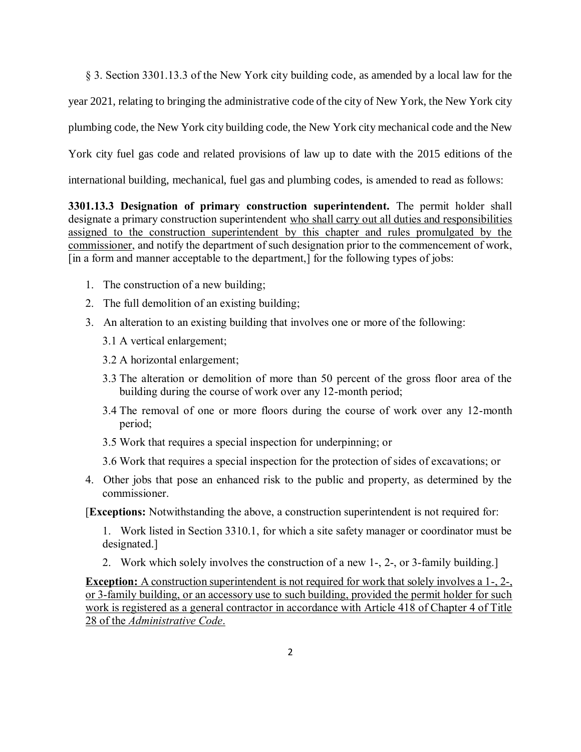§ 3. Section 3301.13.3 of the New York city building code, as amended by a local law for the

year 2021, relating to bringing the administrative code of the city of New York, the New York city

plumbing code, the New York city building code, the New York city mechanical code and the New

York city fuel gas code and related provisions of law up to date with the 2015 editions of the

international building, mechanical, fuel gas and plumbing codes, is amended to read as follows:

**3301.13.3 Designation of primary construction superintendent.** The permit holder shall designate a primary construction superintendent who shall carry out all duties and responsibilities assigned to the construction superintendent by this chapter and rules promulgated by the commissioner, and notify the department of such designation prior to the commencement of work, [in a form and manner acceptable to the department,] for the following types of jobs:

- 1. The construction of a new building;
- 2. The full demolition of an existing building;
- 3. An alteration to an existing building that involves one or more of the following:
	- 3.1 A vertical enlargement;
	- 3.2 A horizontal enlargement;
	- 3.3 The alteration or demolition of more than 50 percent of the gross floor area of the building during the course of work over any 12-month period;
	- 3.4 The removal of one or more floors during the course of work over any 12-month period;
	- 3.5 Work that requires a special inspection for underpinning; or
	- 3.6 Work that requires a special inspection for the protection of sides of excavations; or
- 4. Other jobs that pose an enhanced risk to the public and property, as determined by the commissioner.

[**Exceptions:** Notwithstanding the above, a construction superintendent is not required for:

1. Work listed in Section 3310.1, for which a site safety manager or coordinator must be designated.]

2. Work which solely involves the construction of a new 1-, 2-, or 3-family building.]

**Exception:** A construction superintendent is not required for work that solely involves a 1-, 2-, or 3-family building, or an accessory use to such building, provided the permit holder for such work is registered as a general contractor in accordance with Article 418 of Chapter 4 of Title 28 of the *Administrative Code*.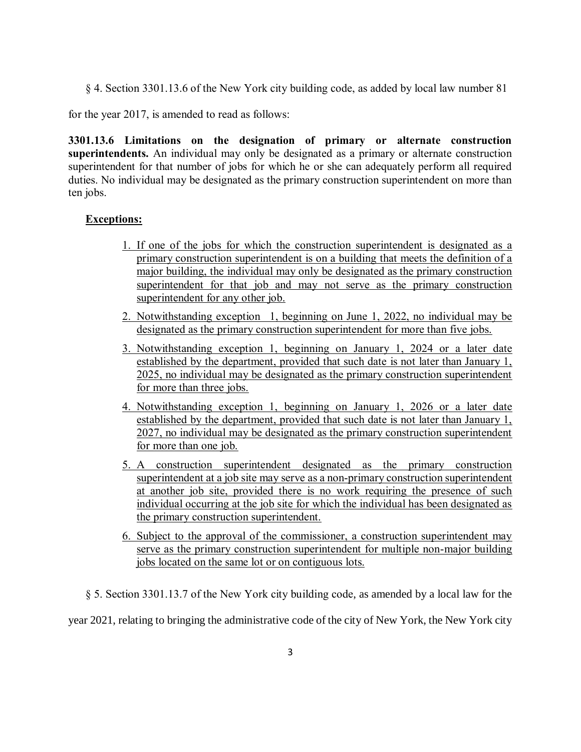§ 4. Section 3301.13.6 of the New York city building code, as added by local law number 81

for the year 2017, is amended to read as follows:

**3301.13.6 Limitations on the designation of primary or alternate construction superintendents.** An individual may only be designated as a primary or alternate construction superintendent for that number of jobs for which he or she can adequately perform all required duties. No individual may be designated as the primary construction superintendent on more than ten jobs.

### **Exceptions:**

- 1. If one of the jobs for which the construction superintendent is designated as a primary construction superintendent is on a building that meets the definition of a major building, the individual may only be designated as the primary construction superintendent for that job and may not serve as the primary construction superintendent for any other job.
- 2. Notwithstanding exception 1, beginning on June 1, 2022, no individual may be designated as the primary construction superintendent for more than five jobs.
- 3. Notwithstanding exception 1, beginning on January 1, 2024 or a later date established by the department, provided that such date is not later than January 1, 2025, no individual may be designated as the primary construction superintendent for more than three jobs.
- 4. Notwithstanding exception 1, beginning on January 1, 2026 or a later date established by the department, provided that such date is not later than January 1, 2027, no individual may be designated as the primary construction superintendent for more than one job.
- 5. A construction superintendent designated as the primary construction superintendent at a job site may serve as a non-primary construction superintendent at another job site, provided there is no work requiring the presence of such individual occurring at the job site for which the individual has been designated as the primary construction superintendent.
- 6. Subject to the approval of the commissioner, a construction superintendent may serve as the primary construction superintendent for multiple non-major building jobs located on the same lot or on contiguous lots.
- § 5. Section 3301.13.7 of the New York city building code, as amended by a local law for the

year 2021, relating to bringing the administrative code of the city of New York, the New York city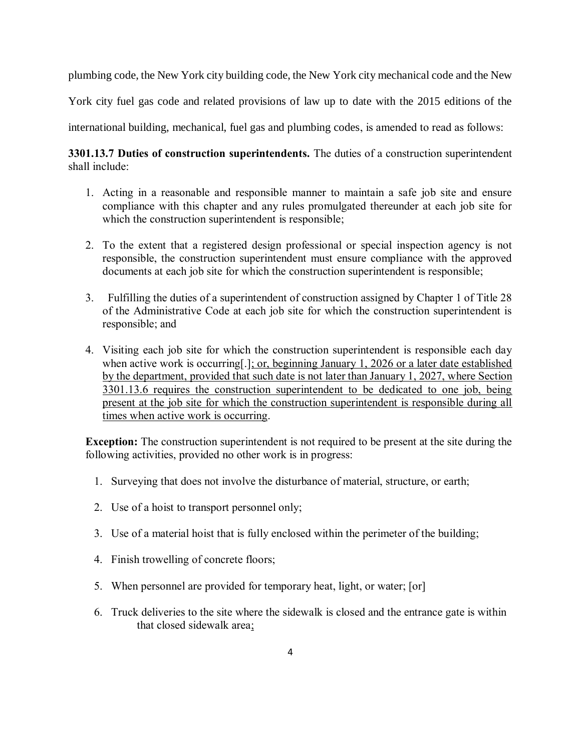plumbing code, the New York city building code, the New York city mechanical code and the New

York city fuel gas code and related provisions of law up to date with the 2015 editions of the

international building, mechanical, fuel gas and plumbing codes, is amended to read as follows:

**3301.13.7 Duties of construction superintendents.** The duties of a construction superintendent shall include:

- 1. Acting in a reasonable and responsible manner to maintain a safe job site and ensure compliance with this chapter and any rules promulgated thereunder at each job site for which the construction superintendent is responsible;
- 2. To the extent that a registered design professional or special inspection agency is not responsible, the construction superintendent must ensure compliance with the approved documents at each job site for which the construction superintendent is responsible;
- 3. Fulfilling the duties of a superintendent of construction assigned by Chapter 1 of Title 28 of the Administrative Code at each job site for which the construction superintendent is responsible; and
- 4. Visiting each job site for which the construction superintendent is responsible each day when active work is occurring[.]; or, beginning January 1, 2026 or a later date established by the department, provided that such date is not later than January 1, 2027, where Section 3301.13.6 requires the construction superintendent to be dedicated to one job, being present at the job site for which the construction superintendent is responsible during all times when active work is occurring.

**Exception:** The construction superintendent is not required to be present at the site during the following activities, provided no other work is in progress:

- 1. Surveying that does not involve the disturbance of material, structure, or earth;
- 2. Use of a hoist to transport personnel only;
- 3. Use of a material hoist that is fully enclosed within the perimeter of the building;
- 4. Finish trowelling of concrete floors;
- 5. When personnel are provided for temporary heat, light, or water; [or]
- 6. Truck deliveries to the site where the sidewalk is closed and the entrance gate is within that closed sidewalk area;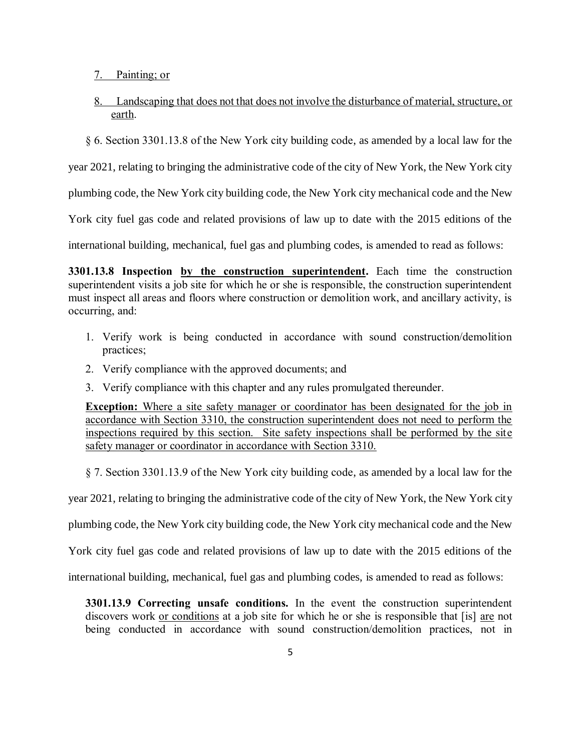- 7. Painting; or
- 8. Landscaping that does not that does not involve the disturbance of material, structure, or earth.
- § 6. Section 3301.13.8 of the New York city building code, as amended by a local law for the

year 2021, relating to bringing the administrative code of the city of New York, the New York city

plumbing code, the New York city building code, the New York city mechanical code and the New

York city fuel gas code and related provisions of law up to date with the 2015 editions of the

international building, mechanical, fuel gas and plumbing codes, is amended to read as follows:

**3301.13.8 Inspection by the construction superintendent.** Each time the construction superintendent visits a job site for which he or she is responsible, the construction superintendent must inspect all areas and floors where construction or demolition work, and ancillary activity, is occurring, and:

- 1. Verify work is being conducted in accordance with sound construction/demolition practices;
- 2. Verify compliance with the approved documents; and
- 3. Verify compliance with this chapter and any rules promulgated thereunder.

**Exception:** Where a site safety manager or coordinator has been designated for the job in accordance with Section 3310, the construction superintendent does not need to perform the inspections required by this section. Site safety inspections shall be performed by the site safety manager or coordinator in accordance with Section 3310.

§ 7. Section 3301.13.9 of the New York city building code, as amended by a local law for the

year 2021, relating to bringing the administrative code of the city of New York, the New York city

plumbing code, the New York city building code, the New York city mechanical code and the New

York city fuel gas code and related provisions of law up to date with the 2015 editions of the

international building, mechanical, fuel gas and plumbing codes, is amended to read as follows:

**3301.13.9 Correcting unsafe conditions.** In the event the construction superintendent discovers work or conditions at a job site for which he or she is responsible that [is] are not being conducted in accordance with sound construction/demolition practices, not in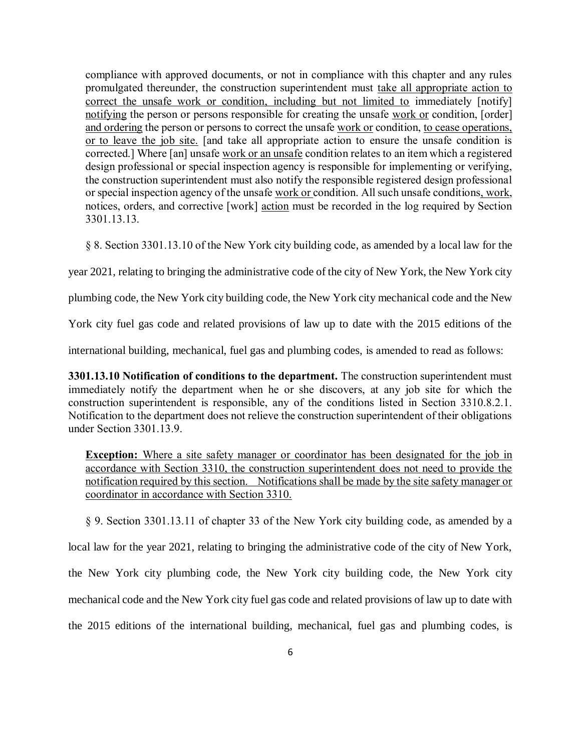compliance with approved documents, or not in compliance with this chapter and any rules promulgated thereunder, the construction superintendent must take all appropriate action to correct the unsafe work or condition, including but not limited to immediately [notify] notifying the person or persons responsible for creating the unsafe work or condition, [order] and ordering the person or persons to correct the unsafe work or condition, to cease operations, or to leave the job site. [and take all appropriate action to ensure the unsafe condition is corrected.] Where [an] unsafe work or an unsafe condition relates to an item which a registered design professional or special inspection agency is responsible for implementing or verifying, the construction superintendent must also notify the responsible registered design professional or special inspection agency of the unsafe work or condition. All such unsafe conditions, work, notices, orders, and corrective [work] action must be recorded in the log required by Section 3301.13.13.

§ 8. Section 3301.13.10 of the New York city building code, as amended by a local law for the

year 2021, relating to bringing the administrative code of the city of New York, the New York city

plumbing code, the New York city building code, the New York city mechanical code and the New

York city fuel gas code and related provisions of law up to date with the 2015 editions of the

international building, mechanical, fuel gas and plumbing codes, is amended to read as follows:

**3301.13.10 Notification of conditions to the department.** The construction superintendent must immediately notify the department when he or she discovers, at any job site for which the construction superintendent is responsible, any of the conditions listed in Section 3310.8.2.1. Notification to the department does not relieve the construction superintendent of their obligations under Section 3301.13.9.

**Exception:** Where a site safety manager or coordinator has been designated for the job in accordance with Section 3310, the construction superintendent does not need to provide the notification required by this section. Notifications shall be made by the site safety manager or coordinator in accordance with Section 3310.

§ 9. Section 3301.13.11 of chapter 33 of the New York city building code, as amended by a local law for the year 2021, relating to bringing the administrative code of the city of New York, the New York city plumbing code, the New York city building code, the New York city mechanical code and the New York city fuel gas code and related provisions of law up to date with the 2015 editions of the international building, mechanical, fuel gas and plumbing codes, is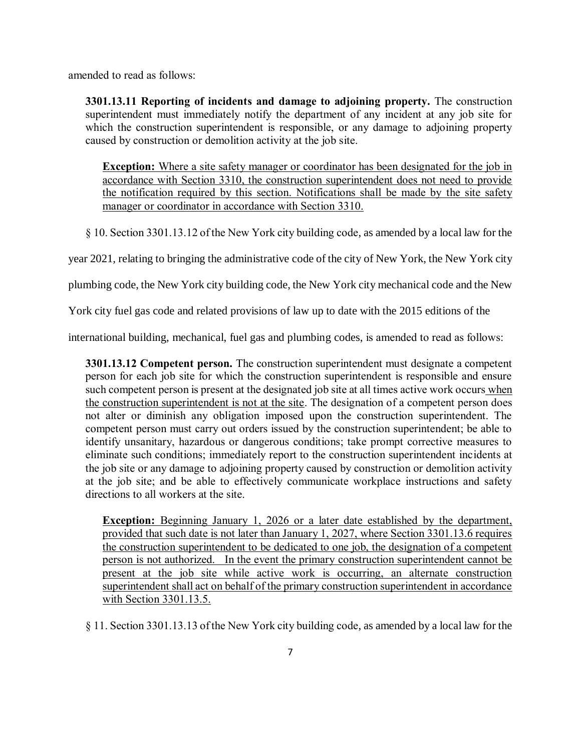amended to read as follows:

**3301.13.11 Reporting of incidents and damage to adjoining property.** The construction superintendent must immediately notify the department of any incident at any job site for which the construction superintendent is responsible, or any damage to adjoining property caused by construction or demolition activity at the job site.

**Exception:** Where a site safety manager or coordinator has been designated for the job in accordance with Section 3310, the construction superintendent does not need to provide the notification required by this section. Notifications shall be made by the site safety manager or coordinator in accordance with Section 3310.

§ 10. Section 3301.13.12 of the New York city building code, as amended by a local law for the

year 2021, relating to bringing the administrative code of the city of New York, the New York city

plumbing code, the New York city building code, the New York city mechanical code and the New

York city fuel gas code and related provisions of law up to date with the 2015 editions of the

international building, mechanical, fuel gas and plumbing codes, is amended to read as follows:

**3301.13.12 Competent person.** The construction superintendent must designate a competent person for each job site for which the construction superintendent is responsible and ensure such competent person is present at the designated job site at all times active work occurs when the construction superintendent is not at the site. The designation of a competent person does not alter or diminish any obligation imposed upon the construction superintendent. The competent person must carry out orders issued by the construction superintendent; be able to identify unsanitary, hazardous or dangerous conditions; take prompt corrective measures to eliminate such conditions; immediately report to the construction superintendent incidents at the job site or any damage to adjoining property caused by construction or demolition activity at the job site; and be able to effectively communicate workplace instructions and safety directions to all workers at the site.

**Exception:** Beginning January 1, 2026 or a later date established by the department, provided that such date is not later than January 1, 2027, where Section 3301.13.6 requires the construction superintendent to be dedicated to one job, the designation of a competent person is not authorized. In the event the primary construction superintendent cannot be present at the job site while active work is occurring, an alternate construction superintendent shall act on behalf of the primary construction superintendent in accordance with Section 3301.13.5.

§ 11. Section 3301.13.13 of the New York city building code, as amended by a local law for the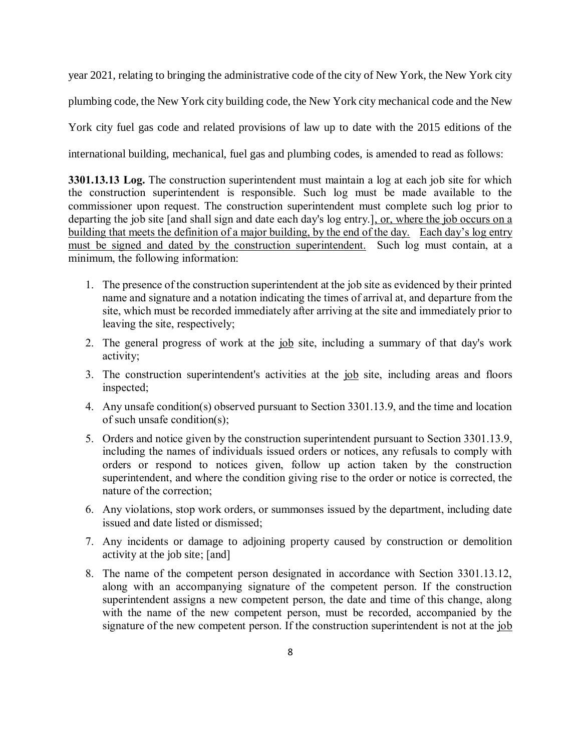year 2021, relating to bringing the administrative code of the city of New York, the New York city plumbing code, the New York city building code, the New York city mechanical code and the New York city fuel gas code and related provisions of law up to date with the 2015 editions of the international building, mechanical, fuel gas and plumbing codes, is amended to read as follows:

**3301.13.13 Log.** The construction superintendent must maintain a log at each job site for which the construction superintendent is responsible. Such log must be made available to the commissioner upon request. The construction superintendent must complete such log prior to departing the job site [and shall sign and date each day's log entry.], or, where the job occurs on a building that meets the definition of a major building, by the end of the day. Each day's log entry must be signed and dated by the construction superintendent. Such log must contain, at a minimum, the following information:

- 1. The presence of the construction superintendent at the job site as evidenced by their printed name and signature and a notation indicating the times of arrival at, and departure from the site, which must be recorded immediately after arriving at the site and immediately prior to leaving the site, respectively;
- 2. The general progress of work at the job site, including a summary of that day's work activity;
- 3. The construction superintendent's activities at the job site, including areas and floors inspected;
- 4. Any unsafe condition(s) observed pursuant to Section 3301.13.9, and the time and location of such unsafe condition(s);
- 5. Orders and notice given by the construction superintendent pursuant to Section 3301.13.9, including the names of individuals issued orders or notices, any refusals to comply with orders or respond to notices given, follow up action taken by the construction superintendent, and where the condition giving rise to the order or notice is corrected, the nature of the correction;
- 6. Any violations, stop work orders, or summonses issued by the department, including date issued and date listed or dismissed;
- 7. Any incidents or damage to adjoining property caused by construction or demolition activity at the job site; [and]
- 8. The name of the competent person designated in accordance with Section 3301.13.12, along with an accompanying signature of the competent person. If the construction superintendent assigns a new competent person, the date and time of this change, along with the name of the new competent person, must be recorded, accompanied by the signature of the new competent person. If the construction superintendent is not at the job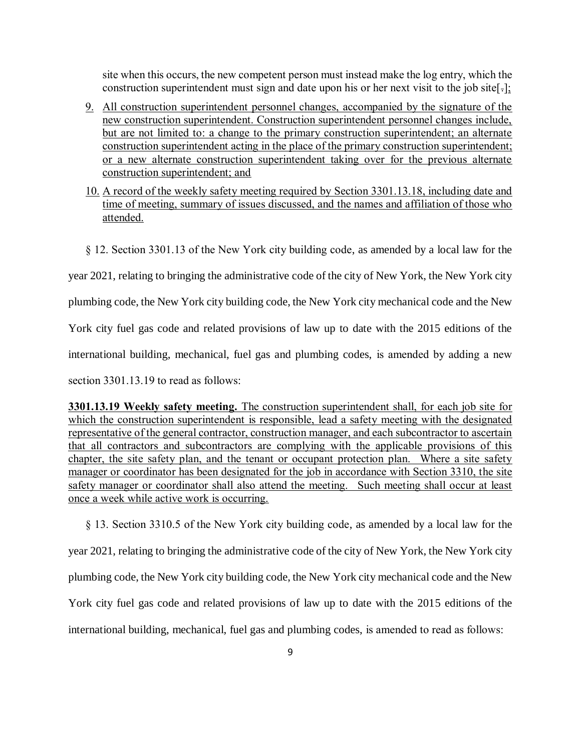site when this occurs, the new competent person must instead make the log entry, which the construction superintendent must sign and date upon his or her next visit to the job site[-];

- 9. All construction superintendent personnel changes, accompanied by the signature of the new construction superintendent. Construction superintendent personnel changes include, but are not limited to: a change to the primary construction superintendent; an alternate construction superintendent acting in the place of the primary construction superintendent; or a new alternate construction superintendent taking over for the previous alternate construction superintendent; and
- 10. A record of the weekly safety meeting required by Section 3301.13.18, including date and time of meeting, summary of issues discussed, and the names and affiliation of those who attended.
- § 12. Section 3301.13 of the New York city building code, as amended by a local law for the

year 2021, relating to bringing the administrative code of the city of New York, the New York city

plumbing code, the New York city building code, the New York city mechanical code and the New

York city fuel gas code and related provisions of law up to date with the 2015 editions of the

international building, mechanical, fuel gas and plumbing codes, is amended by adding a new

section 3301.13.19 to read as follows:

**3301.13.19 Weekly safety meeting.** The construction superintendent shall, for each job site for which the construction superintendent is responsible, lead a safety meeting with the designated representative of the general contractor, construction manager, and each subcontractor to ascertain that all contractors and subcontractors are complying with the applicable provisions of this chapter, the site safety plan, and the tenant or occupant protection plan. Where a site safety manager or coordinator has been designated for the job in accordance with Section 3310, the site safety manager or coordinator shall also attend the meeting. Such meeting shall occur at least once a week while active work is occurring.

§ 13. Section 3310.5 of the New York city building code, as amended by a local law for the year 2021, relating to bringing the administrative code of the city of New York, the New York city plumbing code, the New York city building code, the New York city mechanical code and the New York city fuel gas code and related provisions of law up to date with the 2015 editions of the international building, mechanical, fuel gas and plumbing codes, is amended to read as follows: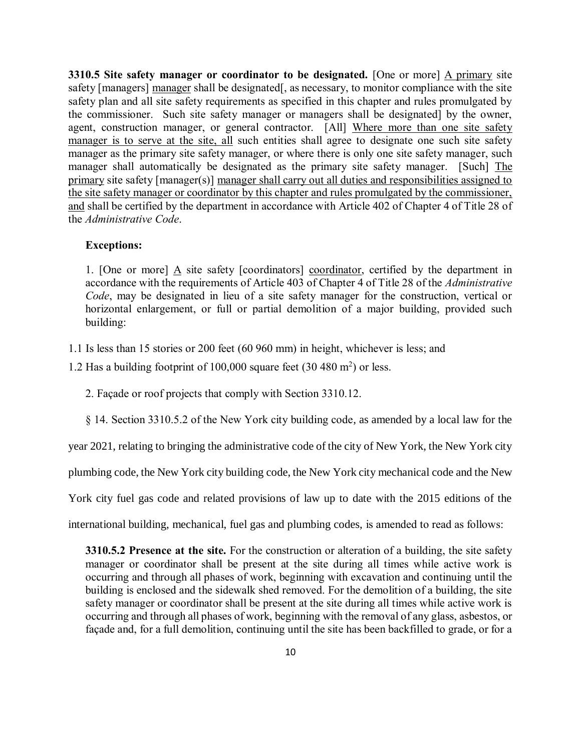**3310.5 Site safety manager or coordinator to be designated.** [One or more] A primary site safety [managers] manager shall be designated[, as necessary, to monitor compliance with the site safety plan and all site safety requirements as specified in this chapter and rules promulgated by the commissioner. Such site safety manager or managers shall be designated] by the owner, agent, construction manager, or general contractor. [All] Where more than one site safety manager is to serve at the site, all such entities shall agree to designate one such site safety manager as the primary site safety manager, or where there is only one site safety manager, such manager shall automatically be designated as the primary site safety manager. [Such] The primary site safety [manager(s)] manager shall carry out all duties and responsibilities assigned to the site safety manager or coordinator by this chapter and rules promulgated by the commissioner, and shall be certified by the department in accordance with Article 402 of Chapter 4 of Title 28 of the *Administrative Code*.

### **Exceptions:**

1. [One or more]  $\underline{A}$  site safety [coordinators] coordinator, certified by the department in accordance with the requirements of Article 403 of Chapter 4 of Title 28 of the *Administrative Code*, may be designated in lieu of a site safety manager for the construction, vertical or horizontal enlargement, or full or partial demolition of a major building, provided such building:

1.1 Is less than 15 stories or 200 feet (60 960 mm) in height, whichever is less; and

1.2 Has a building footprint of 100,000 square feet  $(30 480 m<sup>2</sup>)$  or less.

2. Façade or roof projects that comply with Section 3310.12.

§ 14. Section 3310.5.2 of the New York city building code, as amended by a local law for the

year 2021, relating to bringing the administrative code of the city of New York, the New York city

plumbing code, the New York city building code, the New York city mechanical code and the New

York city fuel gas code and related provisions of law up to date with the 2015 editions of the

international building, mechanical, fuel gas and plumbing codes, is amended to read as follows:

**3310.5.2 Presence at the site.** For the construction or alteration of a building, the site safety manager or coordinator shall be present at the site during all times while active work is occurring and through all phases of work, beginning with excavation and continuing until the building is enclosed and the sidewalk shed removed. For the demolition of a building, the site safety manager or coordinator shall be present at the site during all times while active work is occurring and through all phases of work, beginning with the removal of any glass, asbestos, or façade and, for a full demolition, continuing until the site has been backfilled to grade, or for a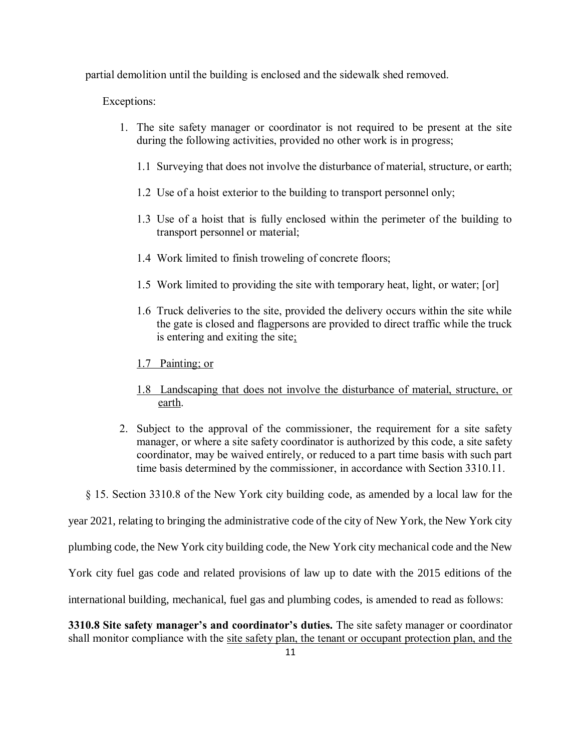partial demolition until the building is enclosed and the sidewalk shed removed.

Exceptions:

- 1. The site safety manager or coordinator is not required to be present at the site during the following activities, provided no other work is in progress;
	- 1.1 Surveying that does not involve the disturbance of material, structure, or earth;
	- 1.2 Use of a hoist exterior to the building to transport personnel only;
	- 1.3 Use of a hoist that is fully enclosed within the perimeter of the building to transport personnel or material;
	- 1.4 Work limited to finish troweling of concrete floors;
	- 1.5 Work limited to providing the site with temporary heat, light, or water; [or]
	- 1.6 Truck deliveries to the site, provided the delivery occurs within the site while the gate is closed and flagpersons are provided to direct traffic while the truck is entering and exiting the site;
	- 1.7 Painting; or
	- 1.8 Landscaping that does not involve the disturbance of material, structure, or earth.
- 2. Subject to the approval of the commissioner, the requirement for a site safety manager, or where a site safety coordinator is authorized by this code, a site safety coordinator, may be waived entirely, or reduced to a part time basis with such part time basis determined by the commissioner, in accordance with Section 3310.11.
- § 15. Section 3310.8 of the New York city building code, as amended by a local law for the

year 2021, relating to bringing the administrative code of the city of New York, the New York city

plumbing code, the New York city building code, the New York city mechanical code and the New

York city fuel gas code and related provisions of law up to date with the 2015 editions of the

international building, mechanical, fuel gas and plumbing codes, is amended to read as follows:

**3310.8 Site safety manager's and coordinator's duties.** The site safety manager or coordinator shall monitor compliance with the site safety plan, the tenant or occupant protection plan, and the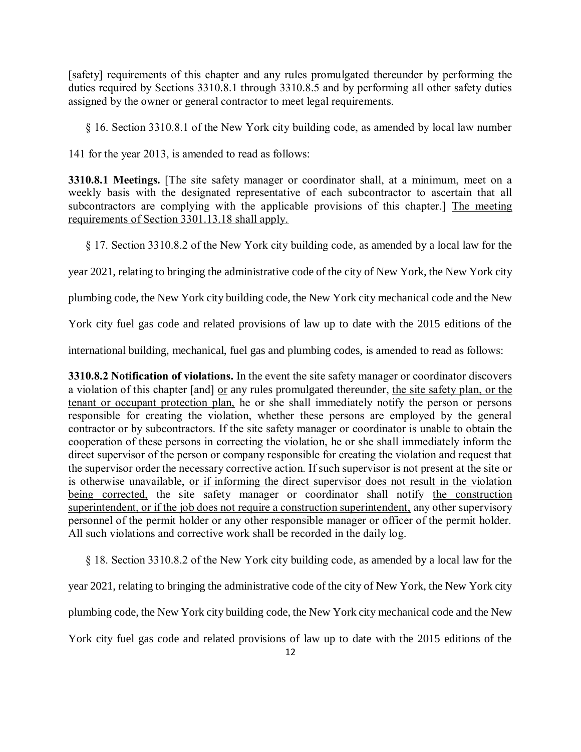[safety] requirements of this chapter and any rules promulgated thereunder by performing the duties required by Sections 3310.8.1 through 3310.8.5 and by performing all other safety duties assigned by the owner or general contractor to meet legal requirements.

§ 16. Section 3310.8.1 of the New York city building code, as amended by local law number

141 for the year 2013, is amended to read as follows:

**3310.8.1 Meetings.** [The site safety manager or coordinator shall, at a minimum, meet on a weekly basis with the designated representative of each subcontractor to ascertain that all subcontractors are complying with the applicable provisions of this chapter.] The meeting requirements of Section 3301.13.18 shall apply.

§ 17. Section 3310.8.2 of the New York city building code, as amended by a local law for the

year 2021, relating to bringing the administrative code of the city of New York, the New York city

plumbing code, the New York city building code, the New York city mechanical code and the New

York city fuel gas code and related provisions of law up to date with the 2015 editions of the

international building, mechanical, fuel gas and plumbing codes, is amended to read as follows:

**3310.8.2 Notification of violations.** In the event the site safety manager or coordinator discovers a violation of this chapter [and] or any rules promulgated thereunder, the site safety plan, or the tenant or occupant protection plan, he or she shall immediately notify the person or persons responsible for creating the violation, whether these persons are employed by the general contractor or by subcontractors. If the site safety manager or coordinator is unable to obtain the cooperation of these persons in correcting the violation, he or she shall immediately inform the direct supervisor of the person or company responsible for creating the violation and request that the supervisor order the necessary corrective action. If such supervisor is not present at the site or is otherwise unavailable, or if informing the direct supervisor does not result in the violation being corrected, the site safety manager or coordinator shall notify the construction superintendent, or if the job does not require a construction superintendent, any other supervisory personnel of the permit holder or any other responsible manager or officer of the permit holder. All such violations and corrective work shall be recorded in the daily log.

§ 18. Section 3310.8.2 of the New York city building code, as amended by a local law for the

year 2021, relating to bringing the administrative code of the city of New York, the New York city

plumbing code, the New York city building code, the New York city mechanical code and the New

York city fuel gas code and related provisions of law up to date with the 2015 editions of the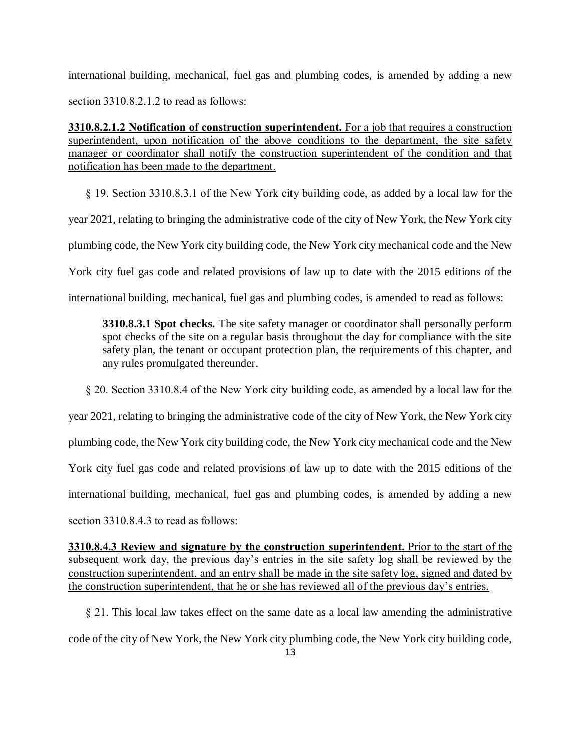international building, mechanical, fuel gas and plumbing codes, is amended by adding a new section 3310.8.2.1.2 to read as follows:

**3310.8.2.1.2 Notification of construction superintendent.** For a job that requires a construction superintendent, upon notification of the above conditions to the department, the site safety manager or coordinator shall notify the construction superintendent of the condition and that notification has been made to the department.

§ 19. Section 3310.8.3.1 of the New York city building code, as added by a local law for the

year 2021, relating to bringing the administrative code of the city of New York, the New York city

plumbing code, the New York city building code, the New York city mechanical code and the New

York city fuel gas code and related provisions of law up to date with the 2015 editions of the

international building, mechanical, fuel gas and plumbing codes, is amended to read as follows:

**3310.8.3.1 Spot checks.** The site safety manager or coordinator shall personally perform spot checks of the site on a regular basis throughout the day for compliance with the site safety plan, the tenant or occupant protection plan, the requirements of this chapter, and any rules promulgated thereunder.

§ 20. Section 3310.8.4 of the New York city building code, as amended by a local law for the

year 2021, relating to bringing the administrative code of the city of New York, the New York city

plumbing code, the New York city building code, the New York city mechanical code and the New

York city fuel gas code and related provisions of law up to date with the 2015 editions of the

international building, mechanical, fuel gas and plumbing codes, is amended by adding a new

section 3310.8.4.3 to read as follows:

**3310.8.4.3 Review and signature by the construction superintendent.** Prior to the start of the subsequent work day, the previous day's entries in the site safety log shall be reviewed by the construction superintendent, and an entry shall be made in the site safety log, signed and dated by the construction superintendent, that he or she has reviewed all of the previous day's entries.

§ 21. This local law takes effect on the same date as a local law amending the administrative code of the city of New York, the New York city plumbing code, the New York city building code,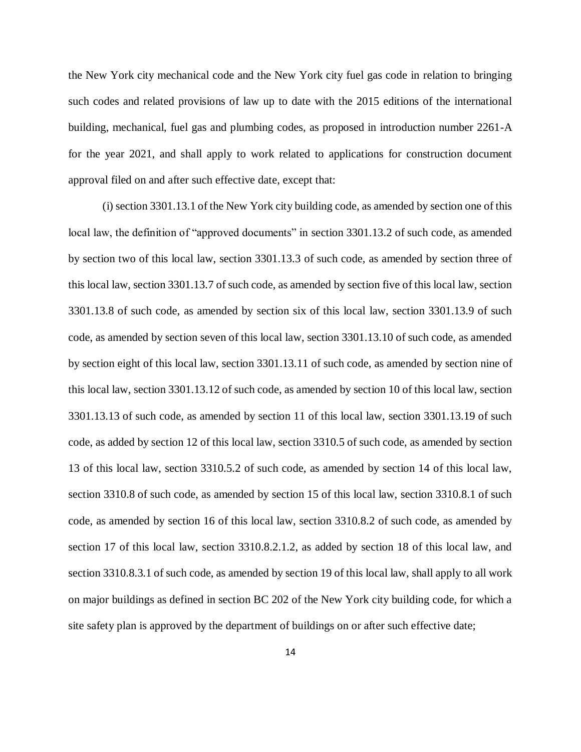the New York city mechanical code and the New York city fuel gas code in relation to bringing such codes and related provisions of law up to date with the 2015 editions of the international building, mechanical, fuel gas and plumbing codes, as proposed in introduction number 2261-A for the year 2021, and shall apply to work related to applications for construction document approval filed on and after such effective date, except that:

(i) section 3301.13.1 of the New York city building code, as amended by section one of this local law, the definition of "approved documents" in section 3301.13.2 of such code, as amended by section two of this local law, section 3301.13.3 of such code, as amended by section three of this local law, section 3301.13.7 of such code, as amended by section five of this local law, section 3301.13.8 of such code, as amended by section six of this local law, section 3301.13.9 of such code, as amended by section seven of this local law, section 3301.13.10 of such code, as amended by section eight of this local law, section 3301.13.11 of such code, as amended by section nine of this local law, section 3301.13.12 of such code, as amended by section 10 of this local law, section 3301.13.13 of such code, as amended by section 11 of this local law, section 3301.13.19 of such code, as added by section 12 of this local law, section 3310.5 of such code, as amended by section 13 of this local law, section 3310.5.2 of such code, as amended by section 14 of this local law, section 3310.8 of such code, as amended by section 15 of this local law, section 3310.8.1 of such code, as amended by section 16 of this local law, section 3310.8.2 of such code, as amended by section 17 of this local law, section 3310.8.2.1.2, as added by section 18 of this local law, and section 3310.8.3.1 of such code, as amended by section 19 of this local law, shall apply to all work on major buildings as defined in section BC 202 of the New York city building code, for which a site safety plan is approved by the department of buildings on or after such effective date;